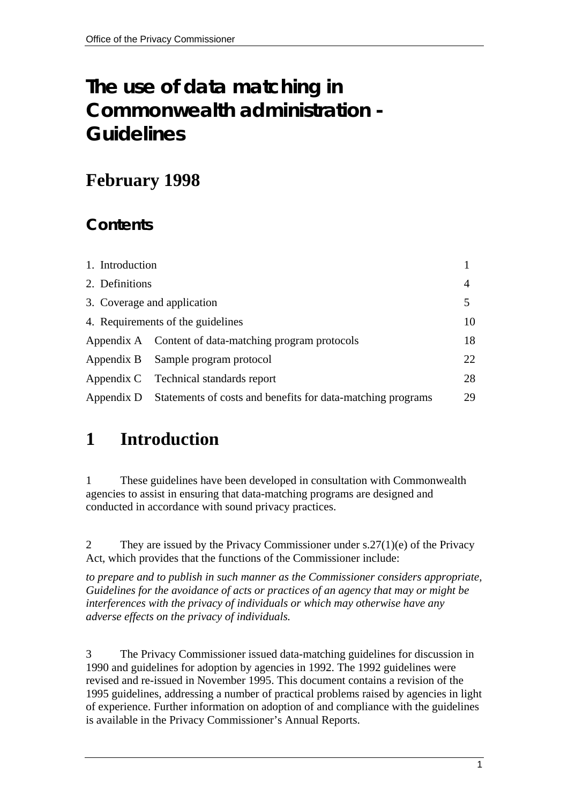# **The use of data matching in Commonwealth administration - Guidelines**

## **February 1998**

## **Contents**

| 1. Introduction |                                                             |     |
|-----------------|-------------------------------------------------------------|-----|
| 2. Definitions  |                                                             | 4   |
|                 | 3. Coverage and application                                 | 5   |
|                 | 4. Requirements of the guidelines                           | 10  |
|                 | Appendix A Content of data-matching program protocols       | 18  |
|                 | Appendix B Sample program protocol                          | 22. |
|                 | Appendix C Technical standards report                       | 28  |
| Appendix D      | Statements of costs and benefits for data-matching programs | 29  |

# **1 Introduction**

1 These guidelines have been developed in consultation with Commonwealth agencies to assist in ensuring that data-matching programs are designed and conducted in accordance with sound privacy practices.

2 They are issued by the Privacy Commissioner under s.27(1)(e) of the Privacy Act, which provides that the functions of the Commissioner include:

*to prepare and to publish in such manner as the Commissioner considers appropriate, Guidelines for the avoidance of acts or practices of an agency that may or might be interferences with the privacy of individuals or which may otherwise have any adverse effects on the privacy of individuals.* 

3 The Privacy Commissioner issued data-matching guidelines for discussion in 1990 and guidelines for adoption by agencies in 1992. The 1992 guidelines were revised and re-issued in November 1995. This document contains a revision of the 1995 guidelines, addressing a number of practical problems raised by agencies in light of experience. Further information on adoption of and compliance with the guidelines is available in the Privacy Commissioner's Annual Reports.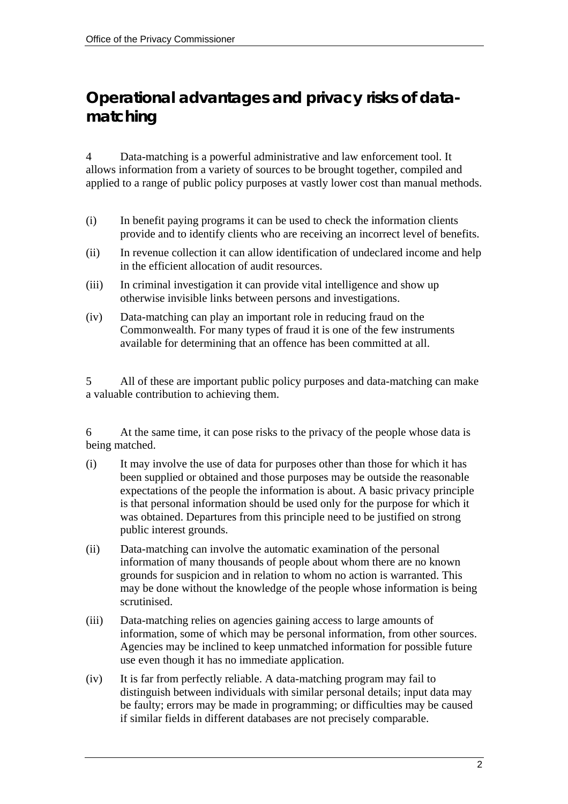## **Operational advantages and privacy risks of datamatching**

4 Data-matching is a powerful administrative and law enforcement tool. It allows information from a variety of sources to be brought together, compiled and applied to a range of public policy purposes at vastly lower cost than manual methods.

- (i) In benefit paying programs it can be used to check the information clients provide and to identify clients who are receiving an incorrect level of benefits.
- (ii) In revenue collection it can allow identification of undeclared income and help in the efficient allocation of audit resources.
- (iii) In criminal investigation it can provide vital intelligence and show up otherwise invisible links between persons and investigations.
- (iv) Data-matching can play an important role in reducing fraud on the Commonwealth. For many types of fraud it is one of the few instruments available for determining that an offence has been committed at all.

5 All of these are important public policy purposes and data-matching can make a valuable contribution to achieving them.

6 At the same time, it can pose risks to the privacy of the people whose data is being matched.

- (i) It may involve the use of data for purposes other than those for which it has been supplied or obtained and those purposes may be outside the reasonable expectations of the people the information is about. A basic privacy principle is that personal information should be used only for the purpose for which it was obtained. Departures from this principle need to be justified on strong public interest grounds.
- (ii) Data-matching can involve the automatic examination of the personal information of many thousands of people about whom there are no known grounds for suspicion and in relation to whom no action is warranted. This may be done without the knowledge of the people whose information is being scrutinised.
- (iii) Data-matching relies on agencies gaining access to large amounts of information, some of which may be personal information, from other sources. Agencies may be inclined to keep unmatched information for possible future use even though it has no immediate application.
- (iv) It is far from perfectly reliable. A data-matching program may fail to distinguish between individuals with similar personal details; input data may be faulty; errors may be made in programming; or difficulties may be caused if similar fields in different databases are not precisely comparable.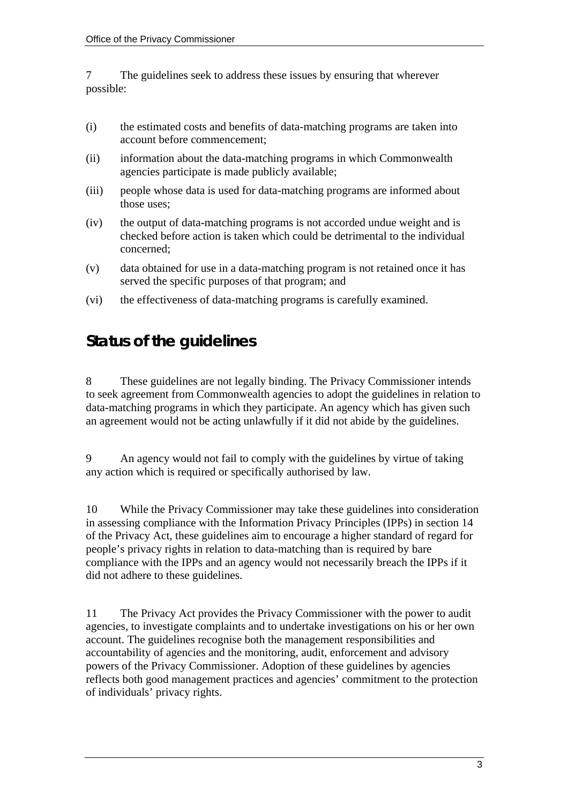7 The guidelines seek to address these issues by ensuring that wherever possible:

- (i) the estimated costs and benefits of data-matching programs are taken into account before commencement;
- (ii) information about the data-matching programs in which Commonwealth agencies participate is made publicly available;
- (iii) people whose data is used for data-matching programs are informed about those uses;
- (iv) the output of data-matching programs is not accorded undue weight and is checked before action is taken which could be detrimental to the individual concerned;
- (v) data obtained for use in a data-matching program is not retained once it has served the specific purposes of that program; and
- (vi) the effectiveness of data-matching programs is carefully examined.

### **Status of the guidelines**

8 These guidelines are not legally binding. The Privacy Commissioner intends to seek agreement from Commonwealth agencies to adopt the guidelines in relation to data-matching programs in which they participate. An agency which has given such an agreement would not be acting unlawfully if it did not abide by the guidelines.

9 An agency would not fail to comply with the guidelines by virtue of taking any action which is required or specifically authorised by law.

10 While the Privacy Commissioner may take these guidelines into consideration in assessing compliance with the Information Privacy Principles (IPPs) in section 14 of the Privacy Act, these guidelines aim to encourage a higher standard of regard for people's privacy rights in relation to data-matching than is required by bare compliance with the IPPs and an agency would not necessarily breach the IPPs if it did not adhere to these guidelines.

11 The Privacy Act provides the Privacy Commissioner with the power to audit agencies, to investigate complaints and to undertake investigations on his or her own account. The guidelines recognise both the management responsibilities and accountability of agencies and the monitoring, audit, enforcement and advisory powers of the Privacy Commissioner. Adoption of these guidelines by agencies reflects both good management practices and agencies' commitment to the protection of individuals' privacy rights.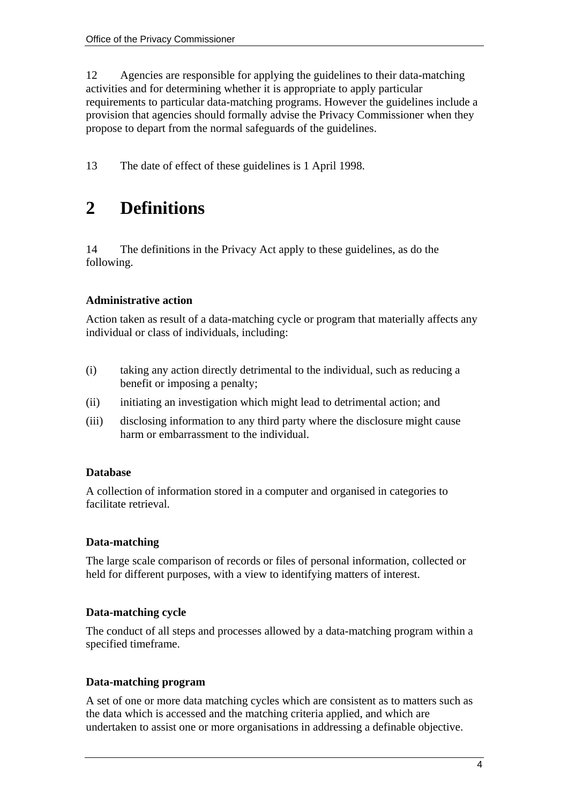12 Agencies are responsible for applying the guidelines to their data-matching activities and for determining whether it is appropriate to apply particular requirements to particular data-matching programs. However the guidelines include a provision that agencies should formally advise the Privacy Commissioner when they propose to depart from the normal safeguards of the guidelines.

13 The date of effect of these guidelines is 1 April 1998.

## **2 Definitions**

14 The definitions in the Privacy Act apply to these guidelines, as do the following.

#### **Administrative action**

Action taken as result of a data-matching cycle or program that materially affects any individual or class of individuals, including:

- (i) taking any action directly detrimental to the individual, such as reducing a benefit or imposing a penalty;
- (ii) initiating an investigation which might lead to detrimental action; and
- (iii) disclosing information to any third party where the disclosure might cause harm or embarrassment to the individual.

#### **Database**

A collection of information stored in a computer and organised in categories to facilitate retrieval.

#### **Data-matching**

The large scale comparison of records or files of personal information, collected or held for different purposes, with a view to identifying matters of interest.

#### **Data-matching cycle**

The conduct of all steps and processes allowed by a data-matching program within a specified timeframe.

#### **Data-matching program**

A set of one or more data matching cycles which are consistent as to matters such as the data which is accessed and the matching criteria applied, and which are undertaken to assist one or more organisations in addressing a definable objective.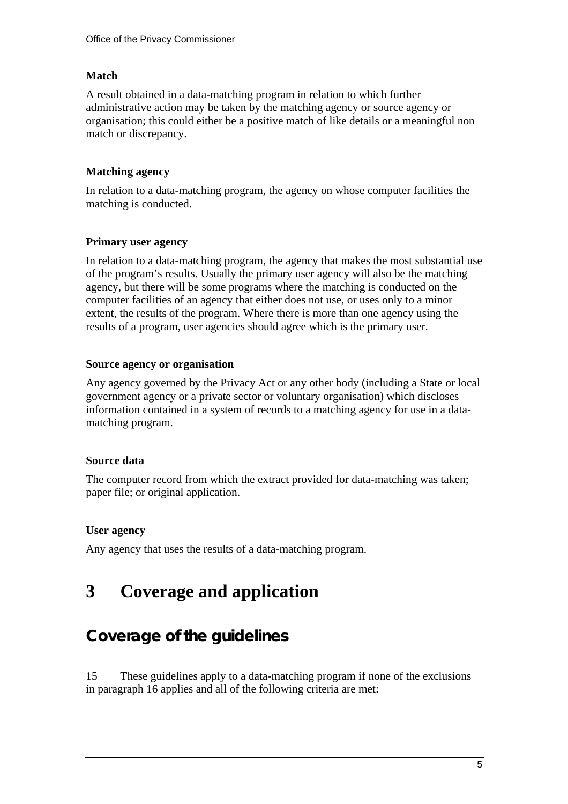#### **Match**

A result obtained in a data-matching program in relation to which further administrative action may be taken by the matching agency or source agency or organisation; this could either be a positive match of like details or a meaningful non match or discrepancy.

#### **Matching agency**

In relation to a data-matching program, the agency on whose computer facilities the matching is conducted.

#### **Primary user agency**

In relation to a data-matching program, the agency that makes the most substantial use of the program's results. Usually the primary user agency will also be the matching agency, but there will be some programs where the matching is conducted on the computer facilities of an agency that either does not use, or uses only to a minor extent, the results of the program. Where there is more than one agency using the results of a program, user agencies should agree which is the primary user.

#### **Source agency or organisation**

Any agency governed by the Privacy Act or any other body (including a State or local government agency or a private sector or voluntary organisation) which discloses information contained in a system of records to a matching agency for use in a datamatching program.

#### **Source data**

The computer record from which the extract provided for data-matching was taken; paper file; or original application.

#### **User agency**

Any agency that uses the results of a data-matching program.

# **3 Coverage and application**

## **Coverage of the guidelines**

15 These guidelines apply to a data-matching program if none of the exclusions in paragraph 16 applies and all of the following criteria are met: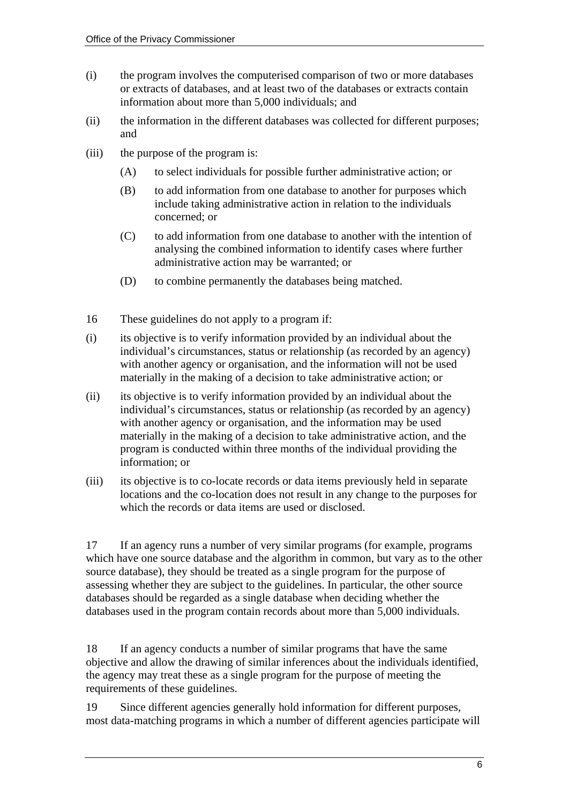- (i) the program involves the computerised comparison of two or more databases or extracts of databases, and at least two of the databases or extracts contain information about more than 5,000 individuals; and
- (ii) the information in the different databases was collected for different purposes; and
- (iii) the purpose of the program is:
	- (A) to select individuals for possible further administrative action; or
	- (B) to add information from one database to another for purposes which include taking administrative action in relation to the individuals concerned; or
	- (C) to add information from one database to another with the intention of analysing the combined information to identify cases where further administrative action may be warranted; or
	- (D) to combine permanently the databases being matched.
- 16 These guidelines do not apply to a program if:
- (i) its objective is to verify information provided by an individual about the individual's circumstances, status or relationship (as recorded by an agency) with another agency or organisation, and the information will not be used materially in the making of a decision to take administrative action; or
- (ii) its objective is to verify information provided by an individual about the individual's circumstances, status or relationship (as recorded by an agency) with another agency or organisation, and the information may be used materially in the making of a decision to take administrative action, and the program is conducted within three months of the individual providing the information; or
- (iii) its objective is to co-locate records or data items previously held in separate locations and the co-location does not result in any change to the purposes for which the records or data items are used or disclosed.

17 If an agency runs a number of very similar programs (for example, programs which have one source database and the algorithm in common, but vary as to the other source database), they should be treated as a single program for the purpose of assessing whether they are subject to the guidelines. In particular, the other source databases should be regarded as a single database when deciding whether the databases used in the program contain records about more than 5,000 individuals.

18 If an agency conducts a number of similar programs that have the same objective and allow the drawing of similar inferences about the individuals identified, the agency may treat these as a single program for the purpose of meeting the requirements of these guidelines.

19 Since different agencies generally hold information for different purposes, most data-matching programs in which a number of different agencies participate will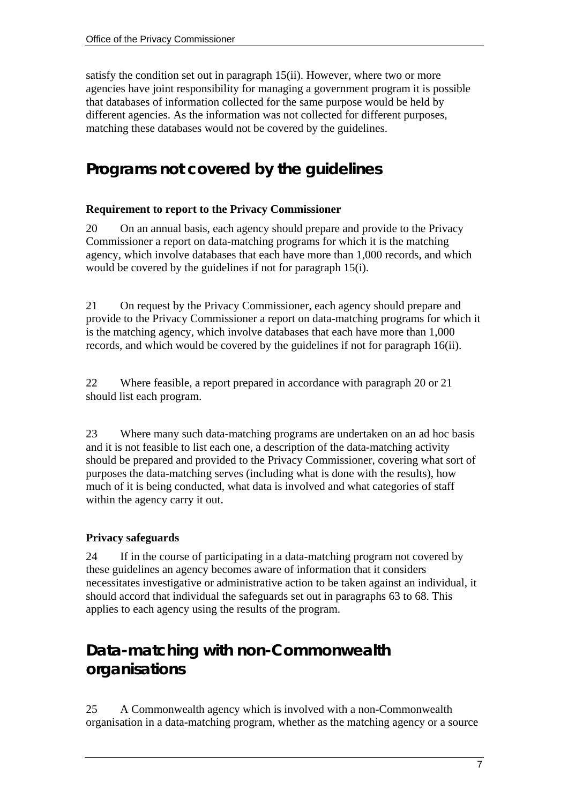satisfy the condition set out in paragraph 15(ii). However, where two or more agencies have joint responsibility for managing a government program it is possible that databases of information collected for the same purpose would be held by different agencies. As the information was not collected for different purposes, matching these databases would not be covered by the guidelines.

## **Programs not covered by the guidelines**

#### **Requirement to report to the Privacy Commissioner**

20 On an annual basis, each agency should prepare and provide to the Privacy Commissioner a report on data-matching programs for which it is the matching agency, which involve databases that each have more than 1,000 records, and which would be covered by the guidelines if not for paragraph 15(i).

21 On request by the Privacy Commissioner, each agency should prepare and provide to the Privacy Commissioner a report on data-matching programs for which it is the matching agency, which involve databases that each have more than 1,000 records, and which would be covered by the guidelines if not for paragraph 16(ii).

22 Where feasible, a report prepared in accordance with paragraph 20 or 21 should list each program.

23 Where many such data-matching programs are undertaken on an ad hoc basis and it is not feasible to list each one, a description of the data-matching activity should be prepared and provided to the Privacy Commissioner, covering what sort of purposes the data-matching serves (including what is done with the results), how much of it is being conducted, what data is involved and what categories of staff within the agency carry it out.

#### **Privacy safeguards**

24 If in the course of participating in a data-matching program not covered by these guidelines an agency becomes aware of information that it considers necessitates investigative or administrative action to be taken against an individual, it should accord that individual the safeguards set out in paragraphs 63 to 68. This applies to each agency using the results of the program.

## **Data-matching with non-Commonwealth organisations**

25 A Commonwealth agency which is involved with a non-Commonwealth organisation in a data-matching program, whether as the matching agency or a source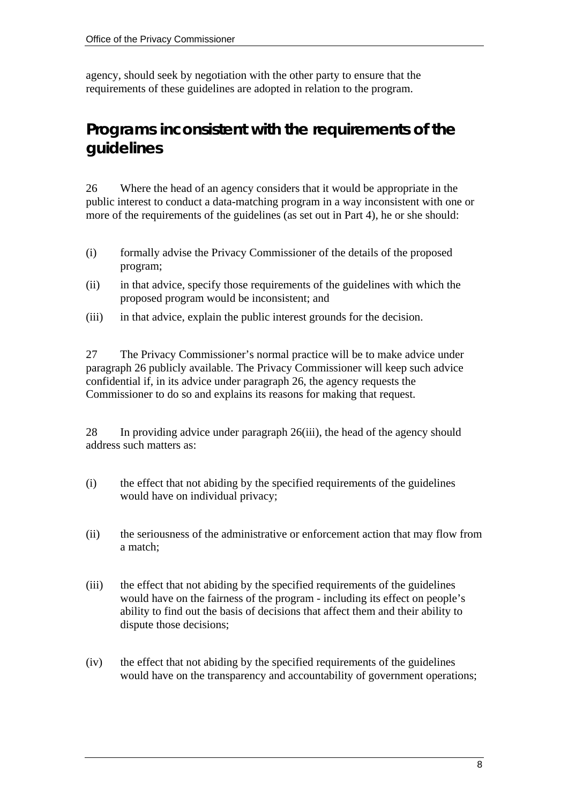agency, should seek by negotiation with the other party to ensure that the requirements of these guidelines are adopted in relation to the program.

### **Programs inconsistent with the requirements of the guidelines**

26 Where the head of an agency considers that it would be appropriate in the public interest to conduct a data-matching program in a way inconsistent with one or more of the requirements of the guidelines (as set out in Part 4), he or she should:

- (i) formally advise the Privacy Commissioner of the details of the proposed program;
- (ii) in that advice, specify those requirements of the guidelines with which the proposed program would be inconsistent; and
- (iii) in that advice, explain the public interest grounds for the decision.

27 The Privacy Commissioner's normal practice will be to make advice under paragraph 26 publicly available. The Privacy Commissioner will keep such advice confidential if, in its advice under paragraph 26, the agency requests the Commissioner to do so and explains its reasons for making that request.

28 In providing advice under paragraph 26(iii), the head of the agency should address such matters as:

- (i) the effect that not abiding by the specified requirements of the guidelines would have on individual privacy;
- (ii) the seriousness of the administrative or enforcement action that may flow from a match;
- (iii) the effect that not abiding by the specified requirements of the guidelines would have on the fairness of the program - including its effect on people's ability to find out the basis of decisions that affect them and their ability to dispute those decisions;
- (iv) the effect that not abiding by the specified requirements of the guidelines would have on the transparency and accountability of government operations;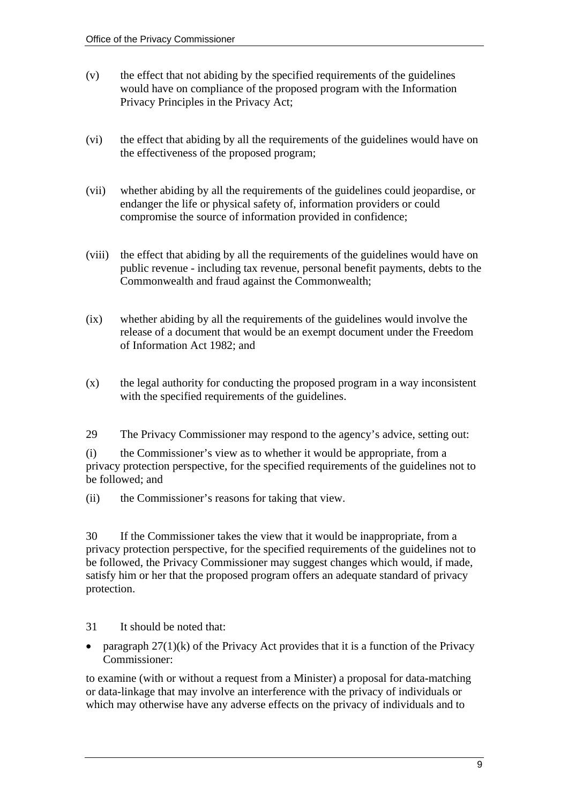- (v) the effect that not abiding by the specified requirements of the guidelines would have on compliance of the proposed program with the Information Privacy Principles in the Privacy Act;
- (vi) the effect that abiding by all the requirements of the guidelines would have on the effectiveness of the proposed program;
- (vii) whether abiding by all the requirements of the guidelines could jeopardise, or endanger the life or physical safety of, information providers or could compromise the source of information provided in confidence;
- (viii) the effect that abiding by all the requirements of the guidelines would have on public revenue - including tax revenue, personal benefit payments, debts to the Commonwealth and fraud against the Commonwealth;
- (ix) whether abiding by all the requirements of the guidelines would involve the release of a document that would be an exempt document under the Freedom of Information Act 1982; and
- (x) the legal authority for conducting the proposed program in a way inconsistent with the specified requirements of the guidelines.
- 29 The Privacy Commissioner may respond to the agency's advice, setting out:

(i) the Commissioner's view as to whether it would be appropriate, from a privacy protection perspective, for the specified requirements of the guidelines not to be followed; and

(ii) the Commissioner's reasons for taking that view.

30 If the Commissioner takes the view that it would be inappropriate, from a privacy protection perspective, for the specified requirements of the guidelines not to be followed, the Privacy Commissioner may suggest changes which would, if made, satisfy him or her that the proposed program offers an adequate standard of privacy protection.

- 31 It should be noted that:
- paragraph  $27(1)(k)$  of the Privacy Act provides that it is a function of the Privacy Commissioner:

to examine (with or without a request from a Minister) a proposal for data-matching or data-linkage that may involve an interference with the privacy of individuals or which may otherwise have any adverse effects on the privacy of individuals and to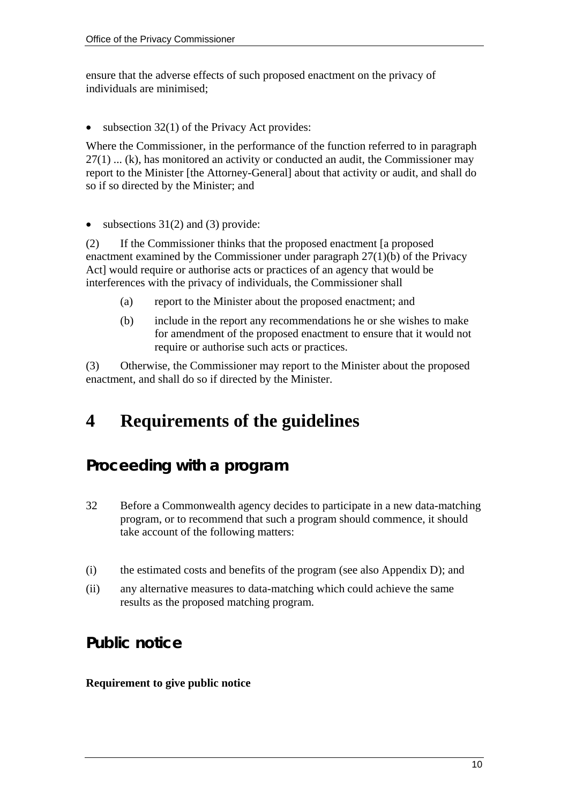ensure that the adverse effects of such proposed enactment on the privacy of individuals are minimised;

subsection  $32(1)$  of the Privacy Act provides:

Where the Commissioner, in the performance of the function referred to in paragraph 27(1) ... (k), has monitored an activity or conducted an audit, the Commissioner may report to the Minister [the Attorney-General] about that activity or audit, and shall do so if so directed by the Minister; and

• subsections  $31(2)$  and (3) provide:

(2) If the Commissioner thinks that the proposed enactment [a proposed enactment examined by the Commissioner under paragraph 27(1)(b) of the Privacy Act] would require or authorise acts or practices of an agency that would be interferences with the privacy of individuals, the Commissioner shall

- (a) report to the Minister about the proposed enactment; and
- (b) include in the report any recommendations he or she wishes to make for amendment of the proposed enactment to ensure that it would not require or authorise such acts or practices.

(3) Otherwise, the Commissioner may report to the Minister about the proposed enactment, and shall do so if directed by the Minister.

# **4 Requirements of the guidelines**

## **Proceeding with a program**

- 32 Before a Commonwealth agency decides to participate in a new data-matching program, or to recommend that such a program should commence, it should take account of the following matters:
- (i) the estimated costs and benefits of the program (see also Appendix D); and
- (ii) any alternative measures to data-matching which could achieve the same results as the proposed matching program.

## **Public notice**

#### **Requirement to give public notice**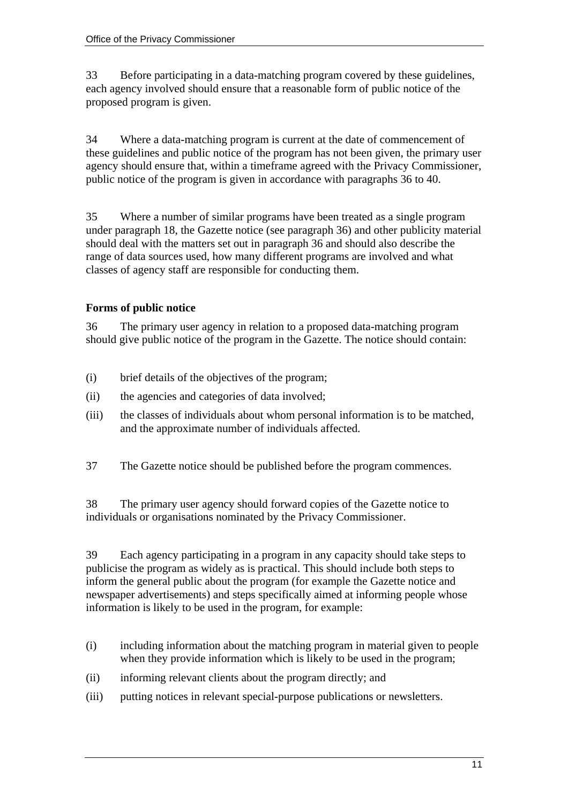33 Before participating in a data-matching program covered by these guidelines, each agency involved should ensure that a reasonable form of public notice of the proposed program is given.

34 Where a data-matching program is current at the date of commencement of these guidelines and public notice of the program has not been given, the primary user agency should ensure that, within a timeframe agreed with the Privacy Commissioner, public notice of the program is given in accordance with paragraphs 36 to 40.

35 Where a number of similar programs have been treated as a single program under paragraph 18, the Gazette notice (see paragraph 36) and other publicity material should deal with the matters set out in paragraph 36 and should also describe the range of data sources used, how many different programs are involved and what classes of agency staff are responsible for conducting them.

#### **Forms of public notice**

36 The primary user agency in relation to a proposed data-matching program should give public notice of the program in the Gazette. The notice should contain:

- (i) brief details of the objectives of the program;
- (ii) the agencies and categories of data involved;
- (iii) the classes of individuals about whom personal information is to be matched, and the approximate number of individuals affected.
- 37 The Gazette notice should be published before the program commences.

38 The primary user agency should forward copies of the Gazette notice to individuals or organisations nominated by the Privacy Commissioner.

39 Each agency participating in a program in any capacity should take steps to publicise the program as widely as is practical. This should include both steps to inform the general public about the program (for example the Gazette notice and newspaper advertisements) and steps specifically aimed at informing people whose information is likely to be used in the program, for example:

- (i) including information about the matching program in material given to people when they provide information which is likely to be used in the program;
- (ii) informing relevant clients about the program directly; and
- (iii) putting notices in relevant special-purpose publications or newsletters.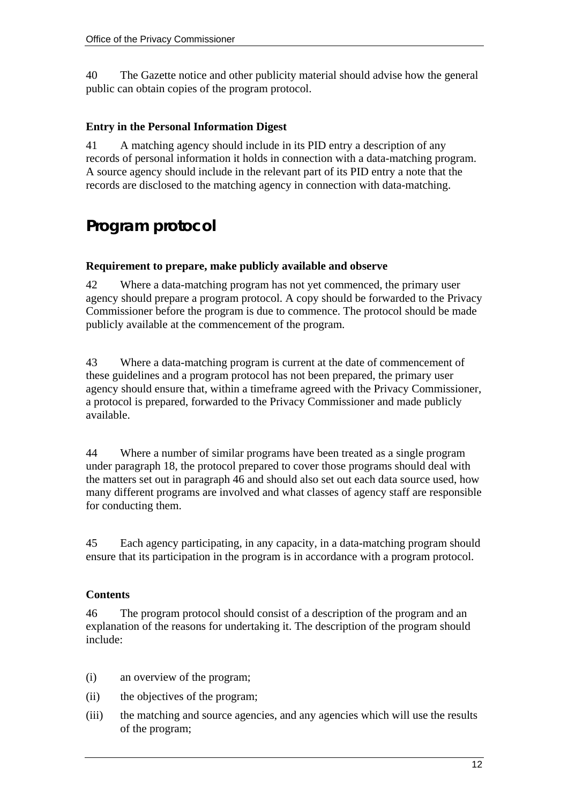40 The Gazette notice and other publicity material should advise how the general public can obtain copies of the program protocol.

#### **Entry in the Personal Information Digest**

41 A matching agency should include in its PID entry a description of any records of personal information it holds in connection with a data-matching program. A source agency should include in the relevant part of its PID entry a note that the records are disclosed to the matching agency in connection with data-matching.

## **Program protocol**

#### **Requirement to prepare, make publicly available and observe**

42 Where a data-matching program has not yet commenced, the primary user agency should prepare a program protocol. A copy should be forwarded to the Privacy Commissioner before the program is due to commence. The protocol should be made publicly available at the commencement of the program.

43 Where a data-matching program is current at the date of commencement of these guidelines and a program protocol has not been prepared, the primary user agency should ensure that, within a timeframe agreed with the Privacy Commissioner, a protocol is prepared, forwarded to the Privacy Commissioner and made publicly available.

44 Where a number of similar programs have been treated as a single program under paragraph 18, the protocol prepared to cover those programs should deal with the matters set out in paragraph 46 and should also set out each data source used, how many different programs are involved and what classes of agency staff are responsible for conducting them.

45 Each agency participating, in any capacity, in a data-matching program should ensure that its participation in the program is in accordance with a program protocol.

#### **Contents**

46 The program protocol should consist of a description of the program and an explanation of the reasons for undertaking it. The description of the program should include:

- (i) an overview of the program;
- (ii) the objectives of the program;
- (iii) the matching and source agencies, and any agencies which will use the results of the program;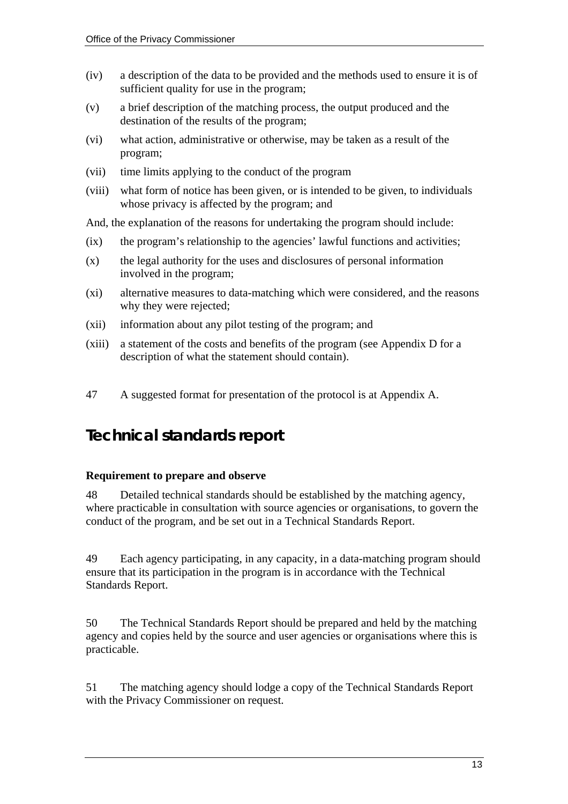- (iv) a description of the data to be provided and the methods used to ensure it is of sufficient quality for use in the program;
- (v) a brief description of the matching process, the output produced and the destination of the results of the program;
- (vi) what action, administrative or otherwise, may be taken as a result of the program;
- (vii) time limits applying to the conduct of the program
- (viii) what form of notice has been given, or is intended to be given, to individuals whose privacy is affected by the program; and

And, the explanation of the reasons for undertaking the program should include:

- (ix) the program's relationship to the agencies' lawful functions and activities;
- (x) the legal authority for the uses and disclosures of personal information involved in the program;
- (xi) alternative measures to data-matching which were considered, and the reasons why they were rejected;
- (xii) information about any pilot testing of the program; and
- (xiii) a statement of the costs and benefits of the program (see Appendix D for a description of what the statement should contain).
- 47 A suggested format for presentation of the protocol is at Appendix A.

## **Technical standards report**

#### **Requirement to prepare and observe**

48 Detailed technical standards should be established by the matching agency, where practicable in consultation with source agencies or organisations, to govern the conduct of the program, and be set out in a Technical Standards Report.

49 Each agency participating, in any capacity, in a data-matching program should ensure that its participation in the program is in accordance with the Technical Standards Report.

50 The Technical Standards Report should be prepared and held by the matching agency and copies held by the source and user agencies or organisations where this is practicable.

51 The matching agency should lodge a copy of the Technical Standards Report with the Privacy Commissioner on request.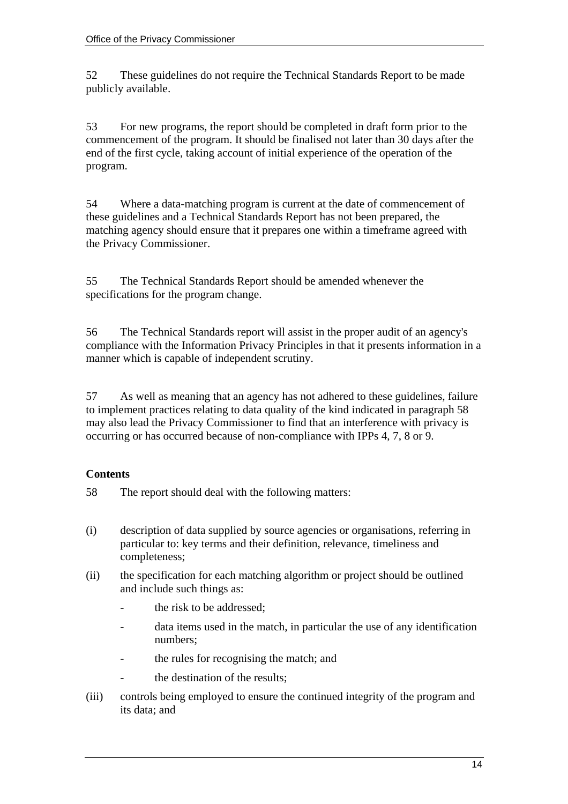52 These guidelines do not require the Technical Standards Report to be made publicly available.

53 For new programs, the report should be completed in draft form prior to the commencement of the program. It should be finalised not later than 30 days after the end of the first cycle, taking account of initial experience of the operation of the program.

54 Where a data-matching program is current at the date of commencement of these guidelines and a Technical Standards Report has not been prepared, the matching agency should ensure that it prepares one within a timeframe agreed with the Privacy Commissioner.

55 The Technical Standards Report should be amended whenever the specifications for the program change.

56 The Technical Standards report will assist in the proper audit of an agency's compliance with the Information Privacy Principles in that it presents information in a manner which is capable of independent scrutiny.

57 As well as meaning that an agency has not adhered to these guidelines, failure to implement practices relating to data quality of the kind indicated in paragraph 58 may also lead the Privacy Commissioner to find that an interference with privacy is occurring or has occurred because of non-compliance with IPPs 4, 7, 8 or 9.

#### **Contents**

58 The report should deal with the following matters:

- (i) description of data supplied by source agencies or organisations, referring in particular to: key terms and their definition, relevance, timeliness and completeness;
- (ii) the specification for each matching algorithm or project should be outlined and include such things as:
	- the risk to be addressed;
	- data items used in the match, in particular the use of any identification numbers;
	- the rules for recognising the match; and
	- the destination of the results;
- (iii) controls being employed to ensure the continued integrity of the program and its data; and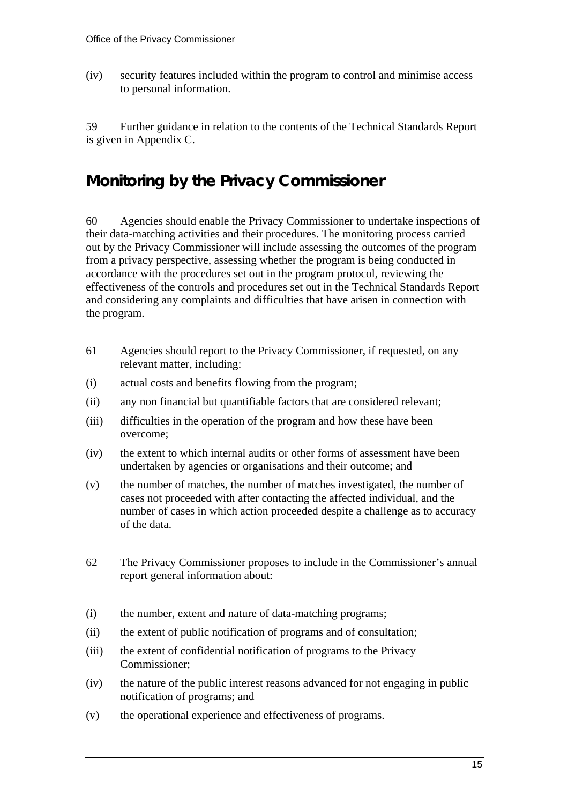(iv) security features included within the program to control and minimise access to personal information.

59 Further guidance in relation to the contents of the Technical Standards Report is given in Appendix C.

## **Monitoring by the Privacy Commissioner**

60 Agencies should enable the Privacy Commissioner to undertake inspections of their data-matching activities and their procedures. The monitoring process carried out by the Privacy Commissioner will include assessing the outcomes of the program from a privacy perspective, assessing whether the program is being conducted in accordance with the procedures set out in the program protocol, reviewing the effectiveness of the controls and procedures set out in the Technical Standards Report and considering any complaints and difficulties that have arisen in connection with the program.

- 61 Agencies should report to the Privacy Commissioner, if requested, on any relevant matter, including:
- (i) actual costs and benefits flowing from the program;
- (ii) any non financial but quantifiable factors that are considered relevant;
- (iii) difficulties in the operation of the program and how these have been overcome;
- (iv) the extent to which internal audits or other forms of assessment have been undertaken by agencies or organisations and their outcome; and
- (v) the number of matches, the number of matches investigated, the number of cases not proceeded with after contacting the affected individual, and the number of cases in which action proceeded despite a challenge as to accuracy of the data.
- 62 The Privacy Commissioner proposes to include in the Commissioner's annual report general information about:
- (i) the number, extent and nature of data-matching programs;
- (ii) the extent of public notification of programs and of consultation;
- (iii) the extent of confidential notification of programs to the Privacy Commissioner;
- (iv) the nature of the public interest reasons advanced for not engaging in public notification of programs; and
- (v) the operational experience and effectiveness of programs.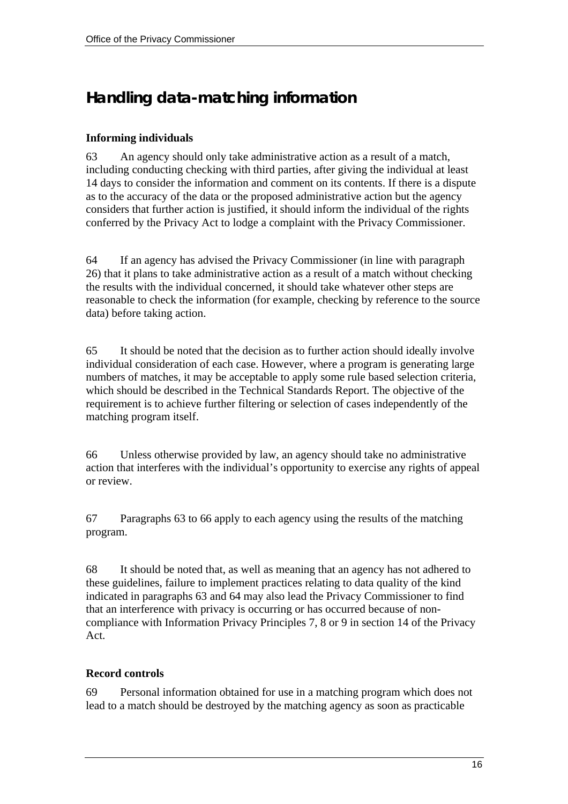## **Handling data-matching information**

#### **Informing individuals**

63 An agency should only take administrative action as a result of a match, including conducting checking with third parties, after giving the individual at least 14 days to consider the information and comment on its contents. If there is a dispute as to the accuracy of the data or the proposed administrative action but the agency considers that further action is justified, it should inform the individual of the rights conferred by the Privacy Act to lodge a complaint with the Privacy Commissioner.

64 If an agency has advised the Privacy Commissioner (in line with paragraph 26) that it plans to take administrative action as a result of a match without checking the results with the individual concerned, it should take whatever other steps are reasonable to check the information (for example, checking by reference to the source data) before taking action.

65 It should be noted that the decision as to further action should ideally involve individual consideration of each case. However, where a program is generating large numbers of matches, it may be acceptable to apply some rule based selection criteria, which should be described in the Technical Standards Report. The objective of the requirement is to achieve further filtering or selection of cases independently of the matching program itself.

66 Unless otherwise provided by law, an agency should take no administrative action that interferes with the individual's opportunity to exercise any rights of appeal or review.

67 Paragraphs 63 to 66 apply to each agency using the results of the matching program.

68 It should be noted that, as well as meaning that an agency has not adhered to these guidelines, failure to implement practices relating to data quality of the kind indicated in paragraphs 63 and 64 may also lead the Privacy Commissioner to find that an interference with privacy is occurring or has occurred because of noncompliance with Information Privacy Principles 7, 8 or 9 in section 14 of the Privacy Act.

#### **Record controls**

69 Personal information obtained for use in a matching program which does not lead to a match should be destroyed by the matching agency as soon as practicable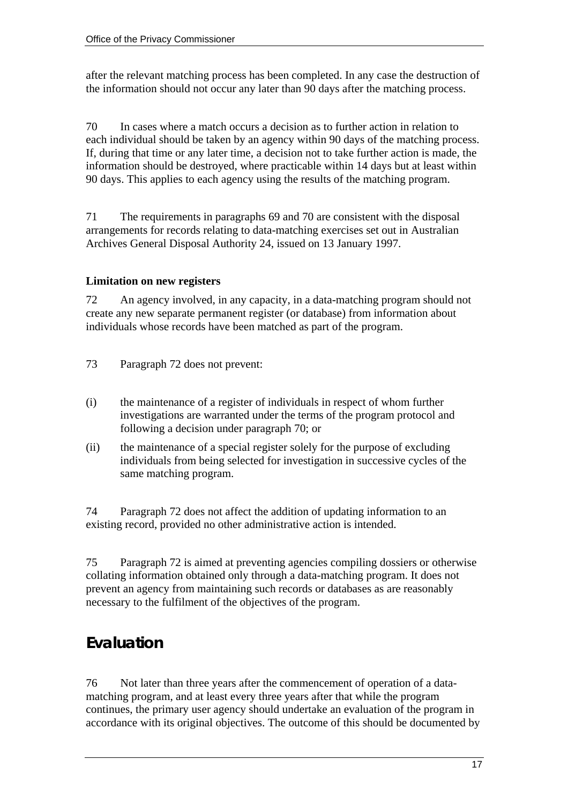after the relevant matching process has been completed. In any case the destruction of the information should not occur any later than 90 days after the matching process.

70 In cases where a match occurs a decision as to further action in relation to each individual should be taken by an agency within 90 days of the matching process. If, during that time or any later time, a decision not to take further action is made, the information should be destroyed, where practicable within 14 days but at least within 90 days. This applies to each agency using the results of the matching program.

71 The requirements in paragraphs 69 and 70 are consistent with the disposal arrangements for records relating to data-matching exercises set out in Australian Archives General Disposal Authority 24, issued on 13 January 1997.

#### **Limitation on new registers**

72 An agency involved, in any capacity, in a data-matching program should not create any new separate permanent register (or database) from information about individuals whose records have been matched as part of the program.

- 73 Paragraph 72 does not prevent:
- (i) the maintenance of a register of individuals in respect of whom further investigations are warranted under the terms of the program protocol and following a decision under paragraph 70; or
- (ii) the maintenance of a special register solely for the purpose of excluding individuals from being selected for investigation in successive cycles of the same matching program.

74 Paragraph 72 does not affect the addition of updating information to an existing record, provided no other administrative action is intended.

75 Paragraph 72 is aimed at preventing agencies compiling dossiers or otherwise collating information obtained only through a data-matching program. It does not prevent an agency from maintaining such records or databases as are reasonably necessary to the fulfilment of the objectives of the program.

## **Evaluation**

76 Not later than three years after the commencement of operation of a datamatching program, and at least every three years after that while the program continues, the primary user agency should undertake an evaluation of the program in accordance with its original objectives. The outcome of this should be documented by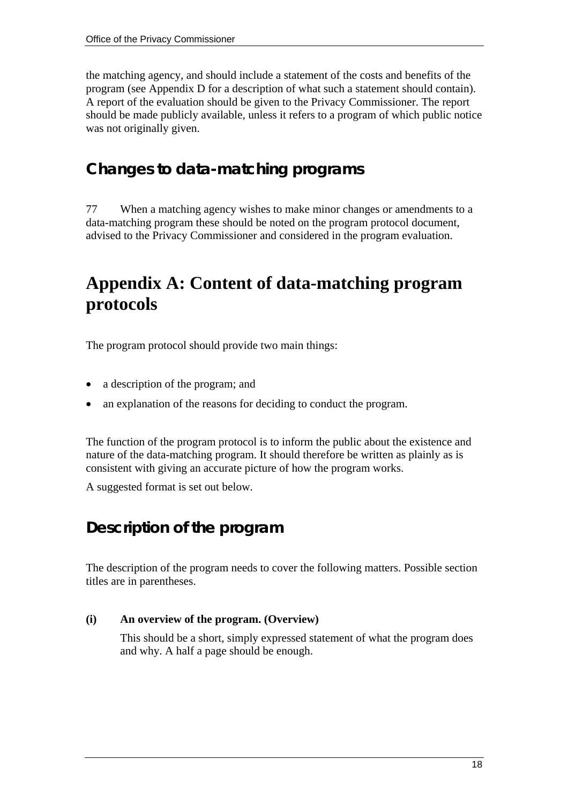the matching agency, and should include a statement of the costs and benefits of the program (see Appendix D for a description of what such a statement should contain). A report of the evaluation should be given to the Privacy Commissioner. The report should be made publicly available, unless it refers to a program of which public notice was not originally given.

## **Changes to data-matching programs**

77 When a matching agency wishes to make minor changes or amendments to a data-matching program these should be noted on the program protocol document, advised to the Privacy Commissioner and considered in the program evaluation.

## **Appendix A: Content of data-matching program protocols**

The program protocol should provide two main things:

- a description of the program; and
- an explanation of the reasons for deciding to conduct the program.

The function of the program protocol is to inform the public about the existence and nature of the data-matching program. It should therefore be written as plainly as is consistent with giving an accurate picture of how the program works.

A suggested format is set out below.

## **Description of the program**

The description of the program needs to cover the following matters. Possible section titles are in parentheses.

#### **(i) An overview of the program. (Overview)**

This should be a short, simply expressed statement of what the program does and why. A half a page should be enough.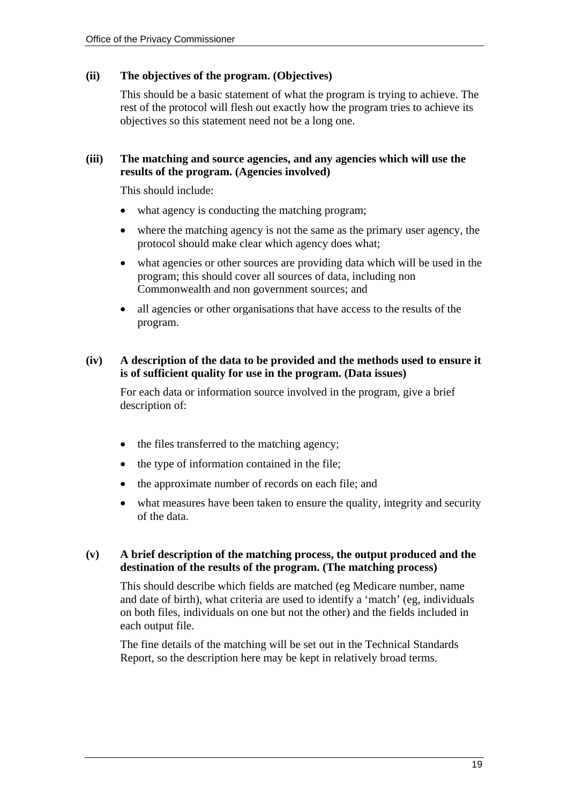#### **(ii) The objectives of the program. (Objectives)**

This should be a basic statement of what the program is trying to achieve. The rest of the protocol will flesh out exactly how the program tries to achieve its objectives so this statement need not be a long one.

#### **(iii) The matching and source agencies, and any agencies which will use the results of the program. (Agencies involved)**

This should include:

- what agency is conducting the matching program;
- where the matching agency is not the same as the primary user agency, the protocol should make clear which agency does what;
- what agencies or other sources are providing data which will be used in the program; this should cover all sources of data, including non Commonwealth and non government sources; and
- all agencies or other organisations that have access to the results of the program.

#### **(iv) A description of the data to be provided and the methods used to ensure it is of sufficient quality for use in the program. (Data issues)**

For each data or information source involved in the program, give a brief description of:

- the files transferred to the matching agency;
- the type of information contained in the file;
- the approximate number of records on each file; and
- what measures have been taken to ensure the quality, integrity and security of the data.

#### **(v) A brief description of the matching process, the output produced and the destination of the results of the program. (The matching process)**

This should describe which fields are matched (eg Medicare number, name and date of birth), what criteria are used to identify a 'match' (eg, individuals on both files, individuals on one but not the other) and the fields included in each output file.

The fine details of the matching will be set out in the Technical Standards Report, so the description here may be kept in relatively broad terms.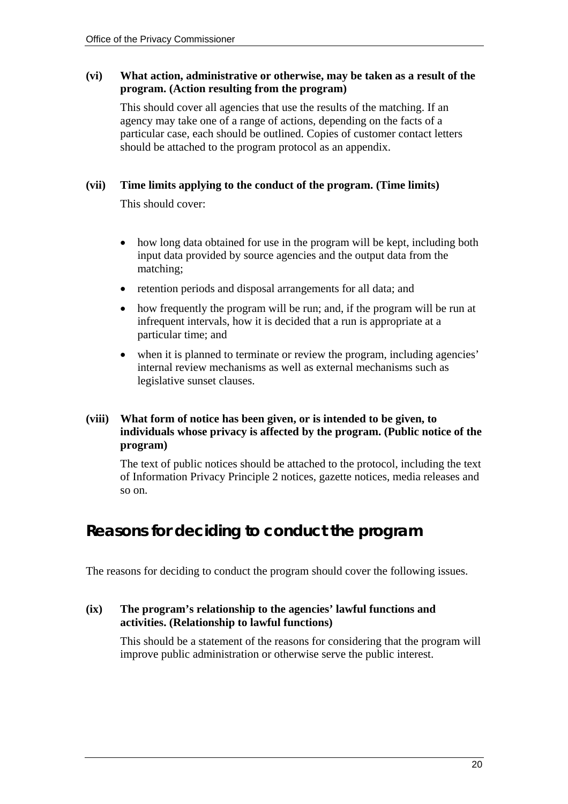#### **(vi) What action, administrative or otherwise, may be taken as a result of the program. (Action resulting from the program)**

This should cover all agencies that use the results of the matching. If an agency may take one of a range of actions, depending on the facts of a particular case, each should be outlined. Copies of customer contact letters should be attached to the program protocol as an appendix.

#### **(vii) Time limits applying to the conduct of the program. (Time limits)**

This should cover:

- how long data obtained for use in the program will be kept, including both input data provided by source agencies and the output data from the matching;
- retention periods and disposal arrangements for all data; and
- how frequently the program will be run; and, if the program will be run at infrequent intervals, how it is decided that a run is appropriate at a particular time; and
- when it is planned to terminate or review the program, including agencies' internal review mechanisms as well as external mechanisms such as legislative sunset clauses.

#### **(viii) What form of notice has been given, or is intended to be given, to individuals whose privacy is affected by the program. (Public notice of the program)**

The text of public notices should be attached to the protocol, including the text of Information Privacy Principle 2 notices, gazette notices, media releases and so on.

## **Reasons for deciding to conduct the program**

The reasons for deciding to conduct the program should cover the following issues.

#### **(ix) The program's relationship to the agencies' lawful functions and activities. (Relationship to lawful functions)**

This should be a statement of the reasons for considering that the program will improve public administration or otherwise serve the public interest.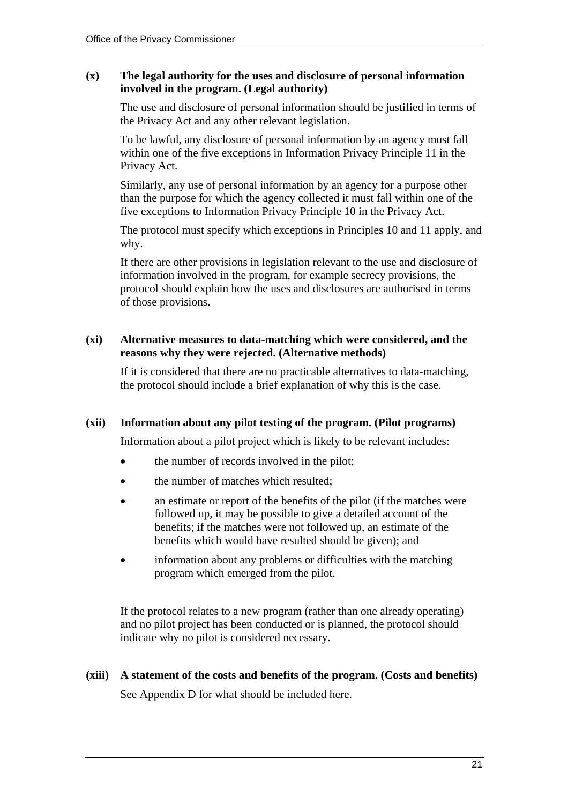#### **(x) The legal authority for the uses and disclosure of personal information involved in the program. (Legal authority)**

The use and disclosure of personal information should be justified in terms of the Privacy Act and any other relevant legislation.

To be lawful, any disclosure of personal information by an agency must fall within one of the five exceptions in Information Privacy Principle 11 in the Privacy Act.

Similarly, any use of personal information by an agency for a purpose other than the purpose for which the agency collected it must fall within one of the five exceptions to Information Privacy Principle 10 in the Privacy Act.

The protocol must specify which exceptions in Principles 10 and 11 apply, and why.

If there are other provisions in legislation relevant to the use and disclosure of information involved in the program, for example secrecy provisions, the protocol should explain how the uses and disclosures are authorised in terms of those provisions.

#### **(xi) Alternative measures to data-matching which were considered, and the reasons why they were rejected. (Alternative methods)**

If it is considered that there are no practicable alternatives to data-matching, the protocol should include a brief explanation of why this is the case.

#### **(xii) Information about any pilot testing of the program. (Pilot programs)**

Information about a pilot project which is likely to be relevant includes:

- the number of records involved in the pilot;
- the number of matches which resulted;
- an estimate or report of the benefits of the pilot (if the matches were followed up, it may be possible to give a detailed account of the benefits; if the matches were not followed up, an estimate of the benefits which would have resulted should be given); and
- information about any problems or difficulties with the matching program which emerged from the pilot.

If the protocol relates to a new program (rather than one already operating) and no pilot project has been conducted or is planned, the protocol should indicate why no pilot is considered necessary.

**(xiii) A statement of the costs and benefits of the program. (Costs and benefits)**  See Appendix D for what should be included here.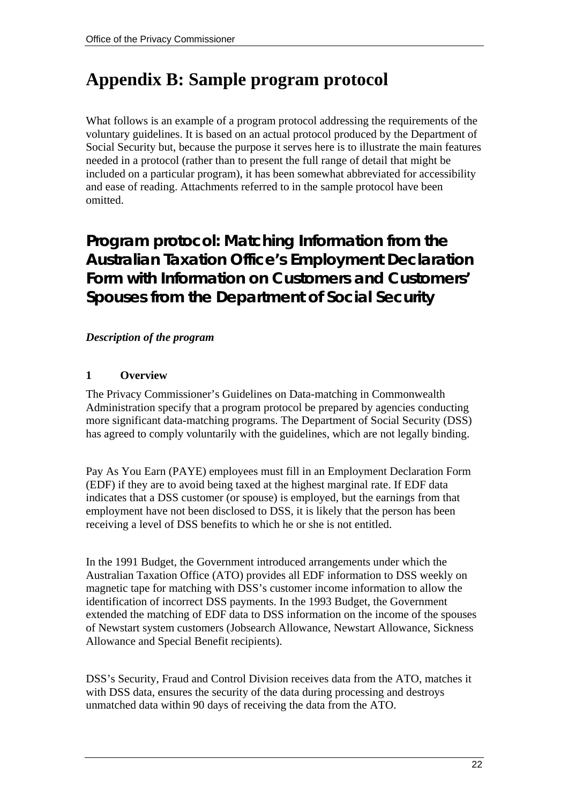# **Appendix B: Sample program protocol**

What follows is an example of a program protocol addressing the requirements of the voluntary guidelines. It is based on an actual protocol produced by the Department of Social Security but, because the purpose it serves here is to illustrate the main features needed in a protocol (rather than to present the full range of detail that might be included on a particular program), it has been somewhat abbreviated for accessibility and ease of reading. Attachments referred to in the sample protocol have been omitted.

## **Program protocol: Matching Information from the Australian Taxation Office's Employment Declaration Form with Information on Customers and Customers' Spouses from the Department of Social Security**

#### *Description of the program*

#### **1 Overview**

The Privacy Commissioner's Guidelines on Data-matching in Commonwealth Administration specify that a program protocol be prepared by agencies conducting more significant data-matching programs. The Department of Social Security (DSS) has agreed to comply voluntarily with the guidelines, which are not legally binding.

Pay As You Earn (PAYE) employees must fill in an Employment Declaration Form (EDF) if they are to avoid being taxed at the highest marginal rate. If EDF data indicates that a DSS customer (or spouse) is employed, but the earnings from that employment have not been disclosed to DSS, it is likely that the person has been receiving a level of DSS benefits to which he or she is not entitled.

In the 1991 Budget, the Government introduced arrangements under which the Australian Taxation Office (ATO) provides all EDF information to DSS weekly on magnetic tape for matching with DSS's customer income information to allow the identification of incorrect DSS payments. In the 1993 Budget, the Government extended the matching of EDF data to DSS information on the income of the spouses of Newstart system customers (Jobsearch Allowance, Newstart Allowance, Sickness Allowance and Special Benefit recipients).

DSS's Security, Fraud and Control Division receives data from the ATO, matches it with DSS data, ensures the security of the data during processing and destroys unmatched data within 90 days of receiving the data from the ATO.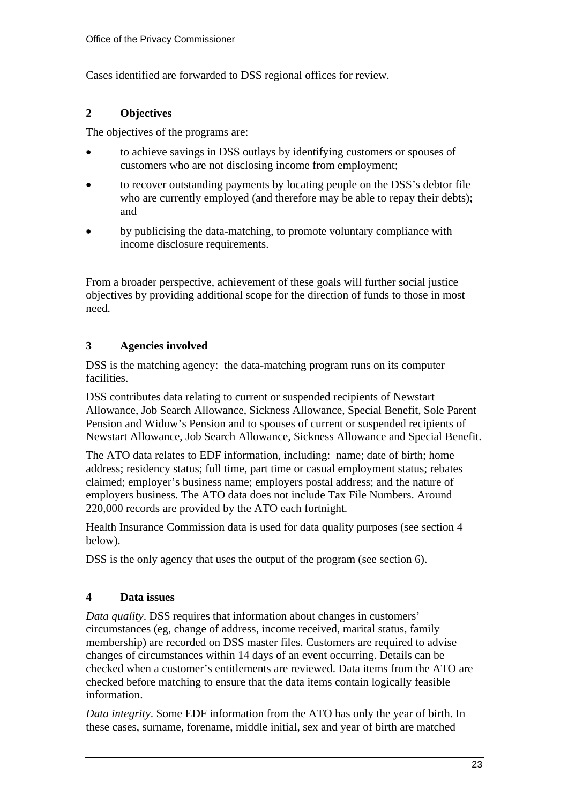Cases identified are forwarded to DSS regional offices for review.

#### **2 Objectives**

The objectives of the programs are:

- to achieve savings in DSS outlays by identifying customers or spouses of customers who are not disclosing income from employment;
- to recover outstanding payments by locating people on the DSS's debtor file who are currently employed (and therefore may be able to repay their debts); and
- by publicising the data-matching, to promote voluntary compliance with income disclosure requirements.

From a broader perspective, achievement of these goals will further social justice objectives by providing additional scope for the direction of funds to those in most need.

#### **3 Agencies involved**

DSS is the matching agency: the data-matching program runs on its computer facilities.

DSS contributes data relating to current or suspended recipients of Newstart Allowance, Job Search Allowance, Sickness Allowance, Special Benefit, Sole Parent Pension and Widow's Pension and to spouses of current or suspended recipients of Newstart Allowance, Job Search Allowance, Sickness Allowance and Special Benefit.

The ATO data relates to EDF information, including: name; date of birth; home address; residency status; full time, part time or casual employment status; rebates claimed; employer's business name; employers postal address; and the nature of employers business. The ATO data does not include Tax File Numbers. Around 220,000 records are provided by the ATO each fortnight.

Health Insurance Commission data is used for data quality purposes (see section 4 below).

DSS is the only agency that uses the output of the program (see section 6).

#### **4 Data issues**

*Data quality*. DSS requires that information about changes in customers' circumstances (eg, change of address, income received, marital status, family membership) are recorded on DSS master files. Customers are required to advise changes of circumstances within 14 days of an event occurring. Details can be checked when a customer's entitlements are reviewed. Data items from the ATO are checked before matching to ensure that the data items contain logically feasible information.

*Data integrity*. Some EDF information from the ATO has only the year of birth. In these cases, surname, forename, middle initial, sex and year of birth are matched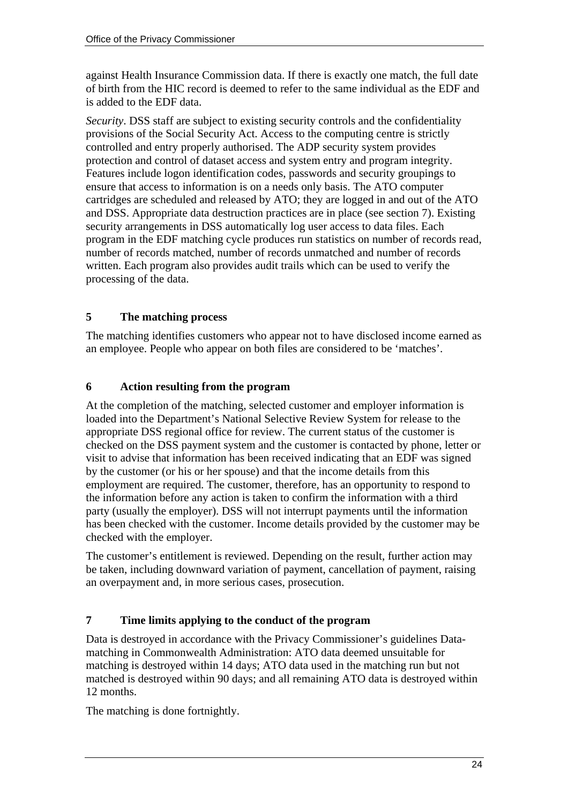against Health Insurance Commission data. If there is exactly one match, the full date of birth from the HIC record is deemed to refer to the same individual as the EDF and is added to the EDF data.

*Security*. DSS staff are subject to existing security controls and the confidentiality provisions of the Social Security Act. Access to the computing centre is strictly controlled and entry properly authorised. The ADP security system provides protection and control of dataset access and system entry and program integrity. Features include logon identification codes, passwords and security groupings to ensure that access to information is on a needs only basis. The ATO computer cartridges are scheduled and released by ATO; they are logged in and out of the ATO and DSS. Appropriate data destruction practices are in place (see section 7). Existing security arrangements in DSS automatically log user access to data files. Each program in the EDF matching cycle produces run statistics on number of records read, number of records matched, number of records unmatched and number of records written. Each program also provides audit trails which can be used to verify the processing of the data.

#### **5 The matching process**

The matching identifies customers who appear not to have disclosed income earned as an employee. People who appear on both files are considered to be 'matches'.

#### **6 Action resulting from the program**

At the completion of the matching, selected customer and employer information is loaded into the Department's National Selective Review System for release to the appropriate DSS regional office for review. The current status of the customer is checked on the DSS payment system and the customer is contacted by phone, letter or visit to advise that information has been received indicating that an EDF was signed by the customer (or his or her spouse) and that the income details from this employment are required. The customer, therefore, has an opportunity to respond to the information before any action is taken to confirm the information with a third party (usually the employer). DSS will not interrupt payments until the information has been checked with the customer. Income details provided by the customer may be checked with the employer.

The customer's entitlement is reviewed. Depending on the result, further action may be taken, including downward variation of payment, cancellation of payment, raising an overpayment and, in more serious cases, prosecution.

#### **7 Time limits applying to the conduct of the program**

Data is destroyed in accordance with the Privacy Commissioner's guidelines Datamatching in Commonwealth Administration: ATO data deemed unsuitable for matching is destroyed within 14 days; ATO data used in the matching run but not matched is destroyed within 90 days; and all remaining ATO data is destroyed within 12 months.

The matching is done fortnightly.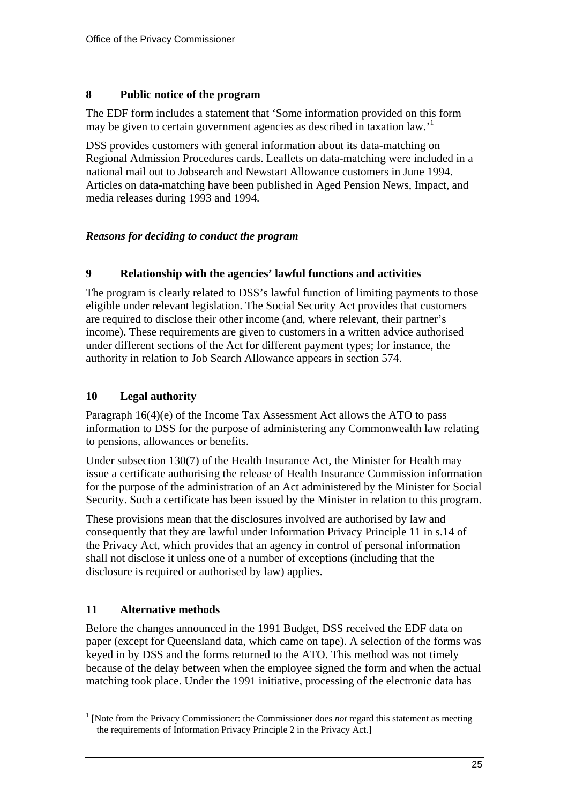#### **8 Public notice of the program**

The EDF form includes a statement that 'Some information provided on this form maybe given to certain government agencies as described in taxation law.<sup>1</sup>

DSS provides customers with general information about its data-matching on Regional Admission Procedures cards. Leaflets on data-matching were included in a national mail out to Jobsearch and Newstart Allowance customers in June 1994. Articles on data-matching have been published in Aged Pension News, Impact, and media releases during 1993 and 1994.

#### *Reasons for deciding to conduct the program*

#### **9 Relationship with the agencies' lawful functions and activities**

The program is clearly related to DSS's lawful function of limiting payments to those eligible under relevant legislation. The Social Security Act provides that customers are required to disclose their other income (and, where relevant, their partner's income). These requirements are given to customers in a written advice authorised under different sections of the Act for different payment types; for instance, the authority in relation to Job Search Allowance appears in section 574.

#### **10 Legal authority**

Paragraph 16(4)(e) of the Income Tax Assessment Act allows the ATO to pass information to DSS for the purpose of administering any Commonwealth law relating to pensions, allowances or benefits.

Under subsection 130(7) of the Health Insurance Act, the Minister for Health may issue a certificate authorising the release of Health Insurance Commission information for the purpose of the administration of an Act administered by the Minister for Social Security. Such a certificate has been issued by the Minister in relation to this program.

These provisions mean that the disclosures involved are authorised by law and consequently that they are lawful under Information Privacy Principle 11 in s.14 of the Privacy Act, which provides that an agency in control of personal information shall not disclose it unless one of a number of exceptions (including that the disclosure is required or authorised by law) applies.

#### **11 Alternative methods**

Before the changes announced in the 1991 Budget, DSS received the EDF data on paper (except for Queensland data, which came on tape). A selection of the forms was keyed in by DSS and the forms returned to the ATO. This method was not timely because of the delay between when the employee signed the form and when the actual matching took place. Under the 1991 initiative, processing of the electronic data has

<span id="page-24-0"></span> $\overline{a}$ <sup>1</sup> [Note from the Privacy Commissioner: the Commissioner does *not* regard this statement as meeting the requirements of Information Privacy Principle 2 in the Privacy Act.]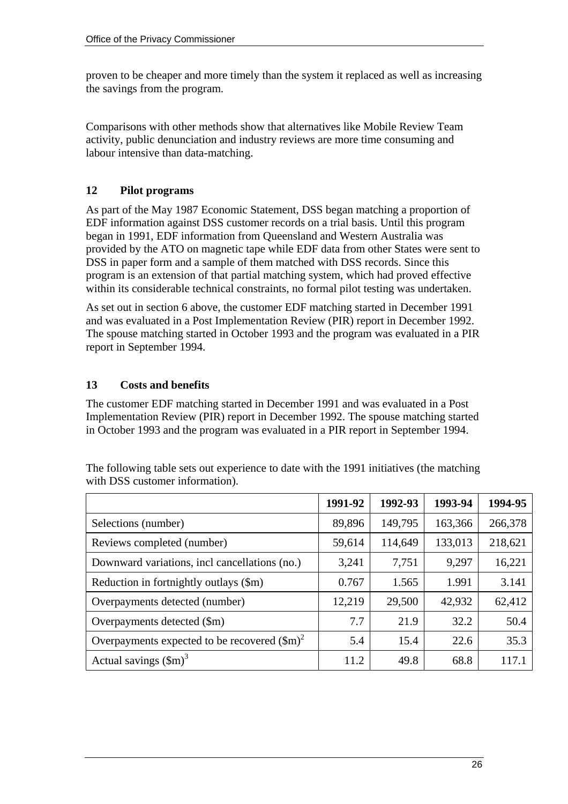proven to be cheaper and more timely than the system it replaced as well as increasing the savings from the program.

Comparisons with other methods show that alternatives like Mobile Review Team activity, public denunciation and industry reviews are more time consuming and labour intensive than data-matching.

#### **12 Pilot programs**

As part of the May 1987 Economic Statement, DSS began matching a proportion of EDF information against DSS customer records on a trial basis. Until this program began in 1991, EDF information from Queensland and Western Australia was provided by the ATO on magnetic tape while EDF data from other States were sent to DSS in paper form and a sample of them matched with DSS records. Since this program is an extension of that partial matching system, which had proved effective within its considerable technical constraints, no formal pilot testing was undertaken.

As set out in section 6 above, the customer EDF matching started in December 1991 and was evaluated in a Post Implementation Review (PIR) report in December 1992. The spouse matching started in October 1993 and the program was evaluated in a PIR report in September 1994.

#### **13 Costs and benefits**

The customer EDF matching started in December 1991 and was evaluated in a Post Implementation Review (PIR) report in December 1992. The spouse matching started in October 1993 and the program was evaluated in a PIR report in September 1994.

<span id="page-25-1"></span><span id="page-25-0"></span>

|                                                       | 1991-92 | 1992-93 | 1993-94 | 1994-95 |
|-------------------------------------------------------|---------|---------|---------|---------|
| Selections (number)                                   | 89,896  | 149,795 | 163,366 | 266,378 |
| Reviews completed (number)                            | 59,614  | 114,649 | 133,013 | 218,621 |
| Downward variations, incl cancellations (no.)         | 3,241   | 7,751   | 9,297   | 16,221  |
| Reduction in fortnightly outlays (\$m)                | 0.767   | 1.565   | 1.991   | 3.141   |
| Overpayments detected (number)                        | 12,219  | 29,500  | 42,932  | 62,412  |
| Overpayments detected (\$m)                           | 7.7     | 21.9    | 32.2    | 50.4    |
| Overpayments expected to be recovered $(\text{Sm})^2$ | 5.4     | 15.4    | 22.6    | 35.3    |
| Actual savings $(\text{Sm})^3$                        | 11.2    | 49.8    | 68.8    | 117.1   |

The following table sets out experience to date with the 1991 initiatives (the matching with DSS customer information).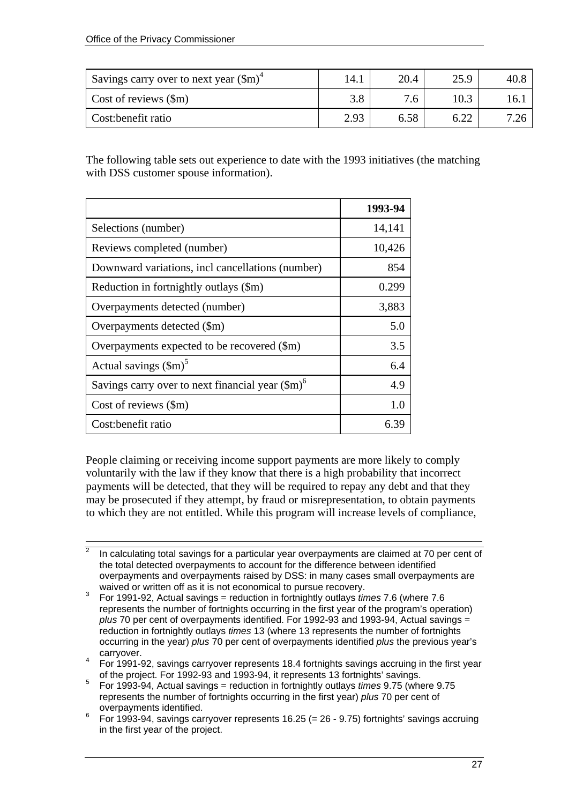$\overline{a}$ 

| Savings carry over to next year $(\text{Sm})^4$ | 14.1 | 20.4 | 25.9         | $40.\xi$ |
|-------------------------------------------------|------|------|--------------|----------|
| Cost of reviews $(\text{Sm})$                   | 3.8  | 7.6  |              | I6.      |
| Cost: benefit ratio                             | 2.93 | 6.58 | ເ າາ<br>0.ZZ |          |

The following table sets out experience to date with the 1993 initiatives (the matching with DSS customer spouse information).

|                                                           | 1993-94 |
|-----------------------------------------------------------|---------|
| Selections (number)                                       | 14,141  |
| Reviews completed (number)                                | 10,426  |
| Downward variations, incl cancellations (number)          | 854     |
| Reduction in fortnightly outlays (\$m)                    | 0.299   |
| Overpayments detected (number)                            | 3,883   |
| Overpayments detected (\$m)                               | 5.0     |
| Overpayments expected to be recovered (\$m)               | 3.5     |
| Actual savings $(\text{Sm})^5$                            | 6.4     |
| Savings carry over to next financial year $(\text{Sm})^6$ | 4.9     |
| Cost of reviews (\$m)                                     | 1.0     |
| Cost: benefit ratio                                       | 6 3ዓ    |

People claiming or receiving income support payments are more likely to comply voluntarily with the law if they know that there is a high probability that incorrect payments will be detected, that they will be required to repay any debt and that they may be prosecuted if they attempt, by fraud or misrepresentation, to obtain payments to which they are not entitled. While this program will increase levels of compliance,

 $\overline{2}$  In calculating total savings for a particular year overpayments are claimed at 70 per cent of the total detected overpayments to account for the difference between identified overpayments and overpayments raised by DSS: in many cases small overpayments are

waived or written off as it is not economical to pursue recovery. 3 For 1991-92, Actual savings = reduction in fortnightly outlays *times* 7.6 (where 7.6 represents the number of fortnights occurring in the first year of the program's operation) *plus* 70 per cent of overpayments identified. For 1992-93 and 1993-94, Actual savings = reduction in fortnightly outlays *times* 13 (where 13 represents the number of fortnights occurring in the year) *plus* 70 per cent of overpayments identified *plus* the previous year's

<span id="page-26-0"></span>carryover. 4 For 1991-92, savings carryover represents 18.4 fortnights savings accruing in the first year of the project. For 1992-93 and 1993-94, it represents 13 fortnights' savings.

<span id="page-26-1"></span><sup>5</sup> For 1993-94, Actual savings = reduction in fortnightly outlays *times* 9.75 (where 9.75 represents the number of fortnights occurring in the first year) *plus* 70 per cent of overpayments identified.

<span id="page-26-2"></span><sup>6</sup> For 1993-94, savings carryover represents 16.25 (= 26 - 9.75) fortnights' savings accruing in the first year of the project.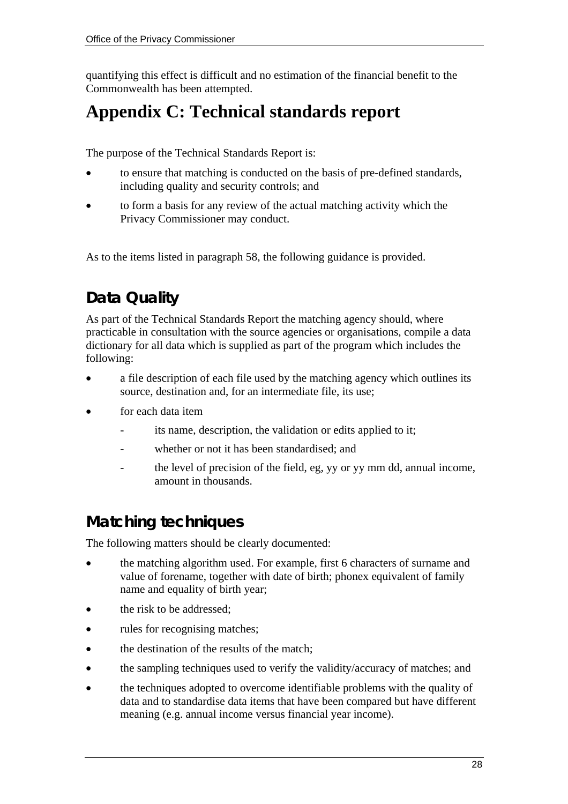quantifying this effect is difficult and no estimation of the financial benefit to the Commonwealth has been attempted.

# **Appendix C: Technical standards report**

The purpose of the Technical Standards Report is:

- to ensure that matching is conducted on the basis of pre-defined standards, including quality and security controls; and
- to form a basis for any review of the actual matching activity which the Privacy Commissioner may conduct.

As to the items listed in paragraph 58, the following guidance is provided.

## **Data Quality**

As part of the Technical Standards Report the matching agency should, where practicable in consultation with the source agencies or organisations, compile a data dictionary for all data which is supplied as part of the program which includes the following:

- a file description of each file used by the matching agency which outlines its source, destination and, for an intermediate file, its use;
- for each data item
	- its name, description, the validation or edits applied to it;
	- whether or not it has been standardised; and
	- the level of precision of the field, eg, yy or yy mm dd, annual income, amount in thousands.

## **Matching techniques**

The following matters should be clearly documented:

- the matching algorithm used. For example, first 6 characters of surname and value of forename, together with date of birth; phonex equivalent of family name and equality of birth year;
- the risk to be addressed;
- rules for recognising matches;
- the destination of the results of the match;
- the sampling techniques used to verify the validity/accuracy of matches; and
- the techniques adopted to overcome identifiable problems with the quality of data and to standardise data items that have been compared but have different meaning (e.g. annual income versus financial year income).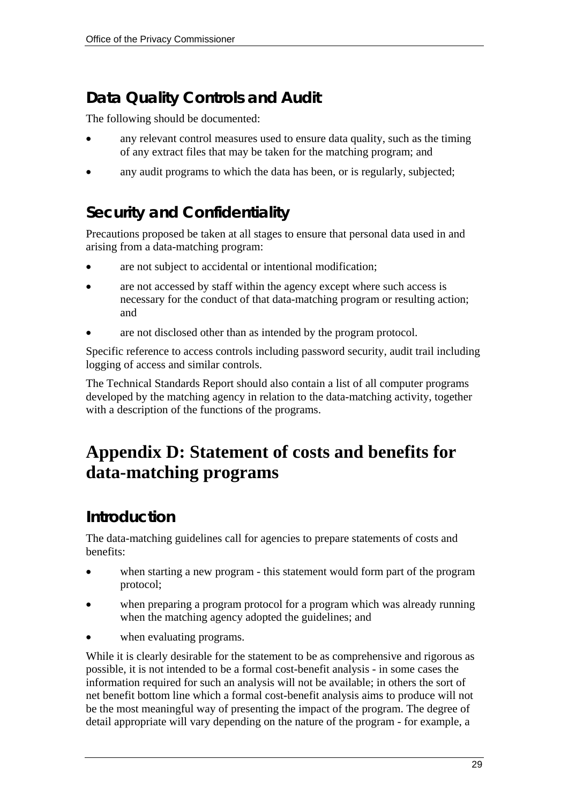## **Data Quality Controls and Audit**

The following should be documented:

- any relevant control measures used to ensure data quality, such as the timing of any extract files that may be taken for the matching program; and
- any audit programs to which the data has been, or is regularly, subjected;

## **Security and Confidentiality**

Precautions proposed be taken at all stages to ensure that personal data used in and arising from a data-matching program:

- are not subject to accidental or intentional modification;
- are not accessed by staff within the agency except where such access is necessary for the conduct of that data-matching program or resulting action; and
- are not disclosed other than as intended by the program protocol.

Specific reference to access controls including password security, audit trail including logging of access and similar controls.

The Technical Standards Report should also contain a list of all computer programs developed by the matching agency in relation to the data-matching activity, together with a description of the functions of the programs.

# **Appendix D: Statement of costs and benefits for data-matching programs**

## **Introduction**

The data-matching guidelines call for agencies to prepare statements of costs and benefits:

- when starting a new program this statement would form part of the program protocol;
- when preparing a program protocol for a program which was already running when the matching agency adopted the guidelines; and
- when evaluating programs.

While it is clearly desirable for the statement to be as comprehensive and rigorous as possible, it is not intended to be a formal cost-benefit analysis - in some cases the information required for such an analysis will not be available; in others the sort of net benefit bottom line which a formal cost-benefit analysis aims to produce will not be the most meaningful way of presenting the impact of the program. The degree of detail appropriate will vary depending on the nature of the program - for example, a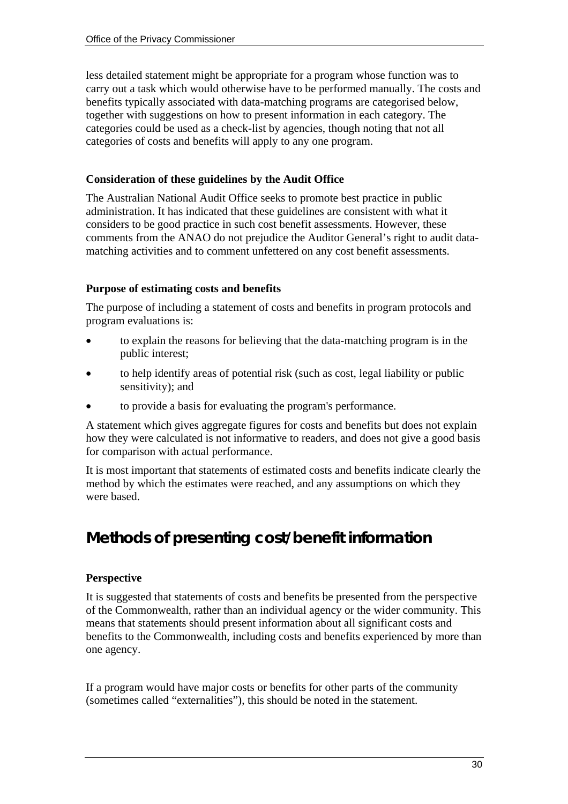less detailed statement might be appropriate for a program whose function was to carry out a task which would otherwise have to be performed manually. The costs and benefits typically associated with data-matching programs are categorised below, together with suggestions on how to present information in each category. The categories could be used as a check-list by agencies, though noting that not all categories of costs and benefits will apply to any one program.

#### **Consideration of these guidelines by the Audit Office**

The Australian National Audit Office seeks to promote best practice in public administration. It has indicated that these guidelines are consistent with what it considers to be good practice in such cost benefit assessments. However, these comments from the ANAO do not prejudice the Auditor General's right to audit datamatching activities and to comment unfettered on any cost benefit assessments.

#### **Purpose of estimating costs and benefits**

The purpose of including a statement of costs and benefits in program protocols and program evaluations is:

- to explain the reasons for believing that the data-matching program is in the public interest;
- to help identify areas of potential risk (such as cost, legal liability or public sensitivity); and
- to provide a basis for evaluating the program's performance.

A statement which gives aggregate figures for costs and benefits but does not explain how they were calculated is not informative to readers, and does not give a good basis for comparison with actual performance.

It is most important that statements of estimated costs and benefits indicate clearly the method by which the estimates were reached, and any assumptions on which they were based.

## **Methods of presenting cost/benefit information**

#### **Perspective**

It is suggested that statements of costs and benefits be presented from the perspective of the Commonwealth, rather than an individual agency or the wider community. This means that statements should present information about all significant costs and benefits to the Commonwealth, including costs and benefits experienced by more than one agency.

If a program would have major costs or benefits for other parts of the community (sometimes called "externalities"), this should be noted in the statement.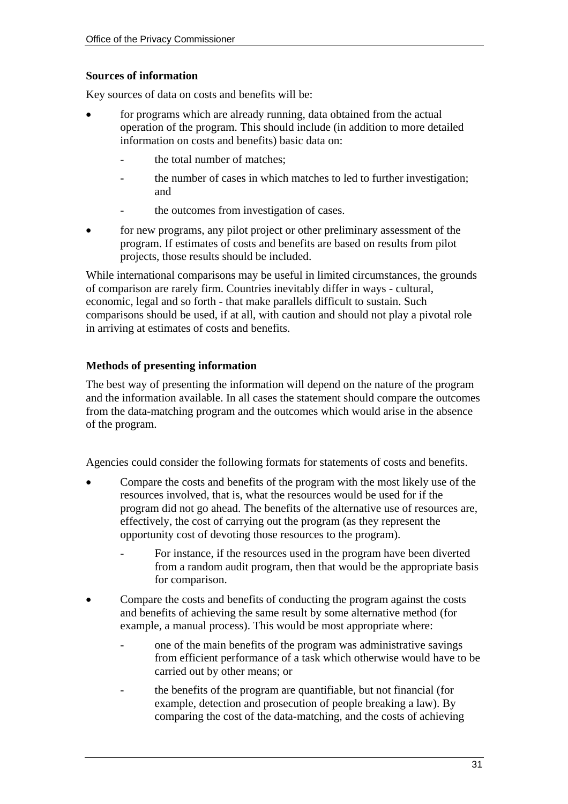#### **Sources of information**

Key sources of data on costs and benefits will be:

- for programs which are already running, data obtained from the actual operation of the program. This should include (in addition to more detailed information on costs and benefits) basic data on:
	- the total number of matches:
	- the number of cases in which matches to led to further investigation; and
	- the outcomes from investigation of cases.
- for new programs, any pilot project or other preliminary assessment of the program. If estimates of costs and benefits are based on results from pilot projects, those results should be included.

While international comparisons may be useful in limited circumstances, the grounds of comparison are rarely firm. Countries inevitably differ in ways - cultural, economic, legal and so forth - that make parallels difficult to sustain. Such comparisons should be used, if at all, with caution and should not play a pivotal role in arriving at estimates of costs and benefits.

#### **Methods of presenting information**

The best way of presenting the information will depend on the nature of the program and the information available. In all cases the statement should compare the outcomes from the data-matching program and the outcomes which would arise in the absence of the program.

Agencies could consider the following formats for statements of costs and benefits.

- Compare the costs and benefits of the program with the most likely use of the resources involved, that is, what the resources would be used for if the program did not go ahead. The benefits of the alternative use of resources are, effectively, the cost of carrying out the program (as they represent the opportunity cost of devoting those resources to the program).
	- For instance, if the resources used in the program have been diverted from a random audit program, then that would be the appropriate basis for comparison.
- Compare the costs and benefits of conducting the program against the costs and benefits of achieving the same result by some alternative method (for example, a manual process). This would be most appropriate where:
	- one of the main benefits of the program was administrative savings from efficient performance of a task which otherwise would have to be carried out by other means; or
	- the benefits of the program are quantifiable, but not financial (for example, detection and prosecution of people breaking a law). By comparing the cost of the data-matching, and the costs of achieving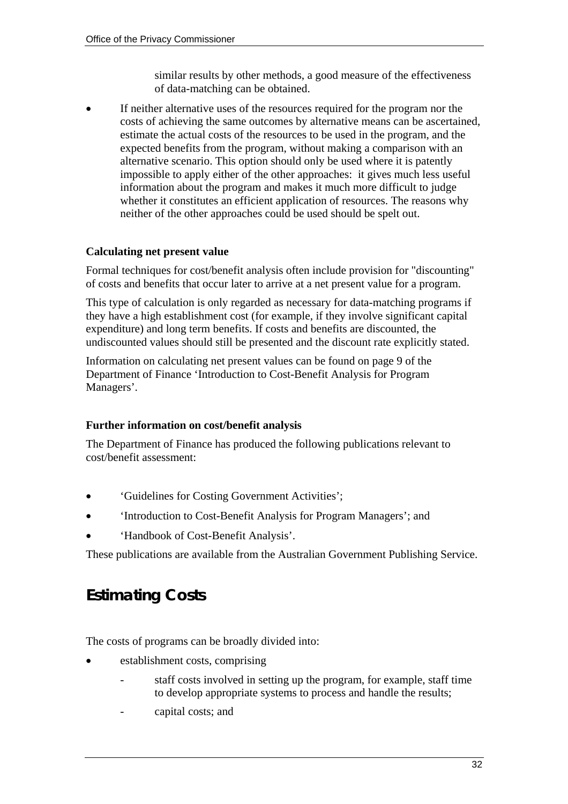similar results by other methods, a good measure of the effectiveness of data-matching can be obtained.

If neither alternative uses of the resources required for the program nor the costs of achieving the same outcomes by alternative means can be ascertained, estimate the actual costs of the resources to be used in the program, and the expected benefits from the program, without making a comparison with an alternative scenario. This option should only be used where it is patently impossible to apply either of the other approaches: it gives much less useful information about the program and makes it much more difficult to judge whether it constitutes an efficient application of resources. The reasons why neither of the other approaches could be used should be spelt out.

#### **Calculating net present value**

Formal techniques for cost/benefit analysis often include provision for "discounting" of costs and benefits that occur later to arrive at a net present value for a program.

This type of calculation is only regarded as necessary for data-matching programs if they have a high establishment cost (for example, if they involve significant capital expenditure) and long term benefits. If costs and benefits are discounted, the undiscounted values should still be presented and the discount rate explicitly stated.

Information on calculating net present values can be found on page 9 of the Department of Finance 'Introduction to Cost-Benefit Analysis for Program Managers'.

#### **Further information on cost/benefit analysis**

The Department of Finance has produced the following publications relevant to cost/benefit assessment:

- 'Guidelines for Costing Government Activities';
- 'Introduction to Cost-Benefit Analysis for Program Managers'; and
- 'Handbook of Cost-Benefit Analysis'.

These publications are available from the Australian Government Publishing Service.

## **Estimating Costs**

The costs of programs can be broadly divided into:

- establishment costs, comprising
	- staff costs involved in setting up the program, for example, staff time to develop appropriate systems to process and handle the results;
	- capital costs; and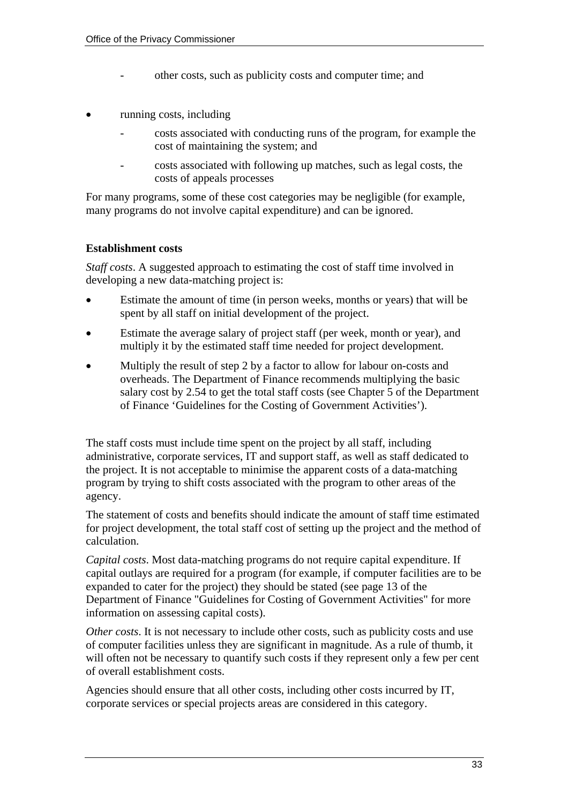- other costs, such as publicity costs and computer time; and
- running costs, including
	- costs associated with conducting runs of the program, for example the cost of maintaining the system; and
	- costs associated with following up matches, such as legal costs, the costs of appeals processes

For many programs, some of these cost categories may be negligible (for example, many programs do not involve capital expenditure) and can be ignored.

#### **Establishment costs**

*Staff costs*. A suggested approach to estimating the cost of staff time involved in developing a new data-matching project is:

- Estimate the amount of time (in person weeks, months or years) that will be spent by all staff on initial development of the project.
- Estimate the average salary of project staff (per week, month or year), and multiply it by the estimated staff time needed for project development.
- Multiply the result of step 2 by a factor to allow for labour on-costs and overheads. The Department of Finance recommends multiplying the basic salary cost by 2.54 to get the total staff costs (see Chapter 5 of the Department of Finance 'Guidelines for the Costing of Government Activities').

The staff costs must include time spent on the project by all staff, including administrative, corporate services, IT and support staff, as well as staff dedicated to the project. It is not acceptable to minimise the apparent costs of a data-matching program by trying to shift costs associated with the program to other areas of the agency.

The statement of costs and benefits should indicate the amount of staff time estimated for project development, the total staff cost of setting up the project and the method of calculation.

*Capital costs*. Most data-matching programs do not require capital expenditure. If capital outlays are required for a program (for example, if computer facilities are to be expanded to cater for the project) they should be stated (see page 13 of the Department of Finance "Guidelines for Costing of Government Activities" for more information on assessing capital costs).

*Other costs*. It is not necessary to include other costs, such as publicity costs and use of computer facilities unless they are significant in magnitude. As a rule of thumb, it will often not be necessary to quantify such costs if they represent only a few per cent of overall establishment costs.

Agencies should ensure that all other costs, including other costs incurred by IT, corporate services or special projects areas are considered in this category.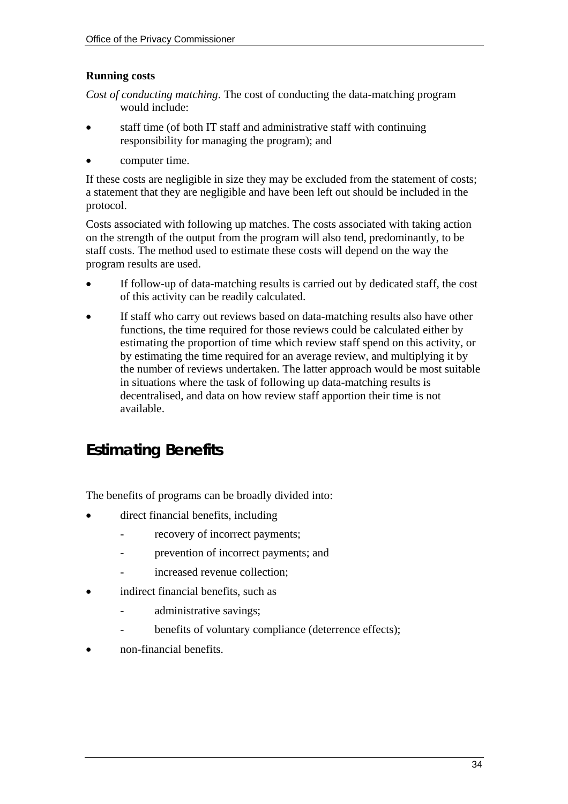#### **Running costs**

*Cost of conducting matching*. The cost of conducting the data-matching program would include:

- staff time (of both IT staff and administrative staff with continuing responsibility for managing the program); and
- computer time.

If these costs are negligible in size they may be excluded from the statement of costs; a statement that they are negligible and have been left out should be included in the protocol.

Costs associated with following up matches. The costs associated with taking action on the strength of the output from the program will also tend, predominantly, to be staff costs. The method used to estimate these costs will depend on the way the program results are used.

- If follow-up of data-matching results is carried out by dedicated staff, the cost of this activity can be readily calculated.
- If staff who carry out reviews based on data-matching results also have other functions, the time required for those reviews could be calculated either by estimating the proportion of time which review staff spend on this activity, or by estimating the time required for an average review, and multiplying it by the number of reviews undertaken. The latter approach would be most suitable in situations where the task of following up data-matching results is decentralised, and data on how review staff apportion their time is not available.

## **Estimating Benefits**

The benefits of programs can be broadly divided into:

- direct financial benefits, including
	- recovery of incorrect payments;
	- prevention of incorrect payments; and
	- increased revenue collection:
- indirect financial benefits, such as
	- administrative savings;
	- benefits of voluntary compliance (deterrence effects);
- non-financial benefits.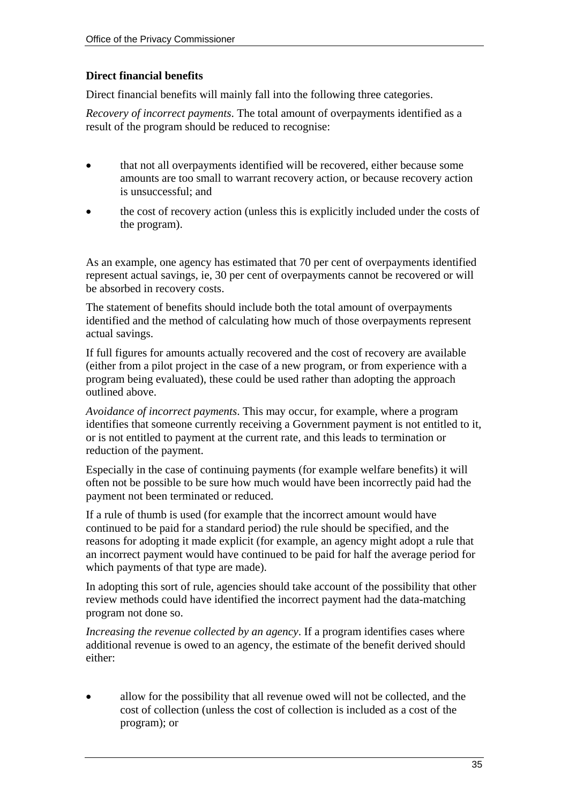#### **Direct financial benefits**

Direct financial benefits will mainly fall into the following three categories.

*Recovery of incorrect payments*. The total amount of overpayments identified as a result of the program should be reduced to recognise:

- that not all overpayments identified will be recovered, either because some amounts are too small to warrant recovery action, or because recovery action is unsuccessful; and
- the cost of recovery action (unless this is explicitly included under the costs of the program).

As an example, one agency has estimated that 70 per cent of overpayments identified represent actual savings, ie, 30 per cent of overpayments cannot be recovered or will be absorbed in recovery costs.

The statement of benefits should include both the total amount of overpayments identified and the method of calculating how much of those overpayments represent actual savings.

If full figures for amounts actually recovered and the cost of recovery are available (either from a pilot project in the case of a new program, or from experience with a program being evaluated), these could be used rather than adopting the approach outlined above.

*Avoidance of incorrect payments*. This may occur, for example, where a program identifies that someone currently receiving a Government payment is not entitled to it, or is not entitled to payment at the current rate, and this leads to termination or reduction of the payment.

Especially in the case of continuing payments (for example welfare benefits) it will often not be possible to be sure how much would have been incorrectly paid had the payment not been terminated or reduced.

If a rule of thumb is used (for example that the incorrect amount would have continued to be paid for a standard period) the rule should be specified, and the reasons for adopting it made explicit (for example, an agency might adopt a rule that an incorrect payment would have continued to be paid for half the average period for which payments of that type are made).

In adopting this sort of rule, agencies should take account of the possibility that other review methods could have identified the incorrect payment had the data-matching program not done so.

*Increasing the revenue collected by an agency*. If a program identifies cases where additional revenue is owed to an agency, the estimate of the benefit derived should either:

• allow for the possibility that all revenue owed will not be collected, and the cost of collection (unless the cost of collection is included as a cost of the program); or